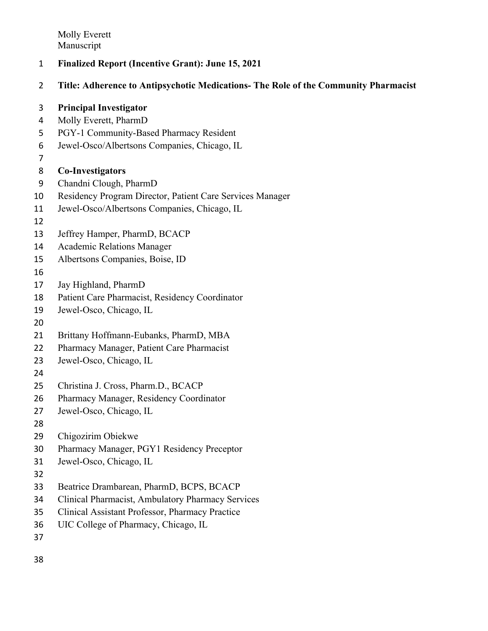- **Finalized Report (Incentive Grant): June 15, 2021**
- **Title: Adherence to Antipsychotic Medications- The Role of the Community Pharmacist**

| 3  | <b>Principal Investigator</b>                             |
|----|-----------------------------------------------------------|
| 4  | Molly Everett, PharmD                                     |
| 5  | PGY-1 Community-Based Pharmacy Resident                   |
| 6  | Jewel-Osco/Albertsons Companies, Chicago, IL              |
| 7  |                                                           |
| 8  | <b>Co-Investigators</b>                                   |
| 9  | Chandni Clough, PharmD                                    |
| 10 | Residency Program Director, Patient Care Services Manager |
| 11 | Jewel-Osco/Albertsons Companies, Chicago, IL              |
| 12 |                                                           |
| 13 | Jeffrey Hamper, PharmD, BCACP                             |
| 14 | <b>Academic Relations Manager</b>                         |
| 15 | Albertsons Companies, Boise, ID                           |
| 16 |                                                           |
| 17 | Jay Highland, PharmD                                      |
| 18 | Patient Care Pharmacist, Residency Coordinator            |
| 19 | Jewel-Osco, Chicago, IL                                   |
| 20 |                                                           |
| 21 | Brittany Hoffmann-Eubanks, PharmD, MBA                    |
| 22 | Pharmacy Manager, Patient Care Pharmacist                 |
| 23 | Jewel-Osco, Chicago, IL                                   |
| 24 |                                                           |
| 25 | Christina J. Cross, Pharm.D., BCACP                       |
| 26 | Pharmacy Manager, Residency Coordinator                   |
| 27 | Jewel-Osco, Chicago, IL                                   |
| 28 |                                                           |
| 29 | Chigozirim Obiekwe                                        |
| 30 | Pharmacy Manager, PGY1 Residency Preceptor                |
| 31 | Jewel-Osco, Chicago, IL                                   |
| 32 |                                                           |
| 33 | Beatrice Drambarean, PharmD, BCPS, BCACP                  |
| 34 | Clinical Pharmacist, Ambulatory Pharmacy Services         |
| 35 | Clinical Assistant Professor, Pharmacy Practice           |
| 36 | UIC College of Pharmacy, Chicago, IL                      |
| 37 |                                                           |
| 38 |                                                           |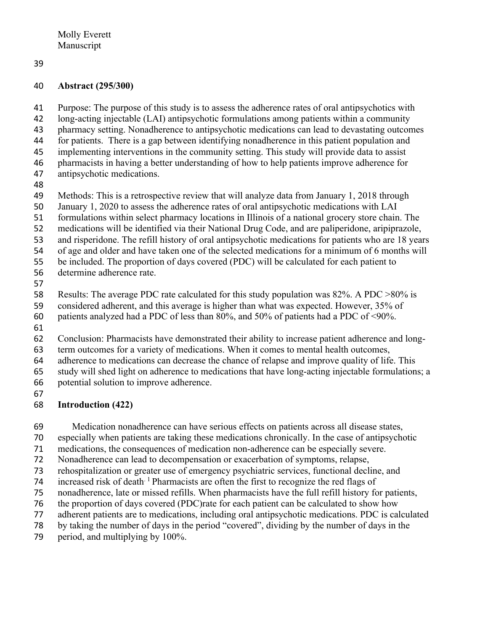#### **Abstract (295/300)**

 Purpose: The purpose of this study is to assess the adherence rates of oral antipsychotics with long-acting injectable (LAI) antipsychotic formulations among patients within a community pharmacy setting. Nonadherence to antipsychotic medications can lead to devastating outcomes for patients. There is a gap between identifying nonadherence in this patient population and implementing interventions in the community setting. This study will provide data to assist pharmacists in having a better understanding of how to help patients improve adherence for

- antipsychotic medications.
- 
- Methods: This is a retrospective review that will analyze data from January 1, 2018 through
- January 1, 2020 to assess the adherence rates of oral antipsychotic medications with LAI
- formulations within select pharmacy locations in Illinois of a national grocery store chain. The
- medications will be identified via their National Drug Code, and are paliperidone, aripiprazole,
- and risperidone. The refill history of oral antipsychotic medications for patients who are 18 years
- of age and older and have taken one of the selected medications for a minimum of 6 months will
- be included. The proportion of days covered (PDC) will be calculated for each patient to
- determine adherence rate.
- 

Results: The average PDC rate calculated for this study population was 82%. A PDC >80% is

- considered adherent, and this average is higher than what was expected. However, 35% of
- patients analyzed had a PDC of less than 80%, and 50% of patients had a PDC of <90%.
- -
- Conclusion: Pharmacists have demonstrated their ability to increase patient adherence and long-term outcomes for a variety of medications. When it comes to mental health outcomes,
- adherence to medications can decrease the chance of relapse and improve quality of life. This
- study will shed light on adherence to medications that have long-acting injectable formulations; a
- potential solution to improve adherence.
- 

# **Introduction (422)**

Medication nonadherence can have serious effects on patients across all disease states,

- especially when patients are taking these medications chronically. In the case of antipsychotic
- medications, the consequences of medication non-adherence can be especially severe.
- Nonadherence can lead to decompensation or exacerbation of symptoms, relapse,
- rehospitalization or greater use of emergency psychiatric services, functional decline, and
- 74 increased risk of death<sup> $1$ </sup> Pharmacists are often the first to recognize the red flags of
- nonadherence, late or missed refills. When pharmacists have the full refill history for patients,
- the proportion of days covered (PDC)rate for each patient can be calculated to show how
- adherent patients are to medications, including oral antipsychotic medications. PDC is calculated
- by taking the number of days in the period "covered", dividing by the number of days in the
- period, and multiplying by 100%.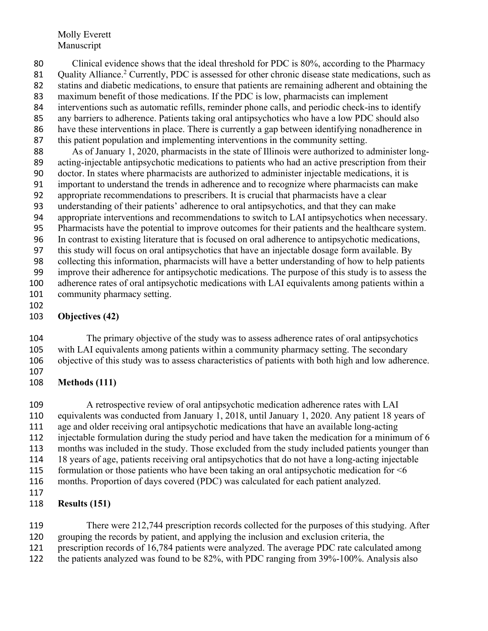80 Clinical evidence shows that the ideal threshold for PDC is 80%, according to the Pharmacy 81 Quality Alliance.<sup>2</sup> Currently, PDC is assessed for other chronic disease state medications, such as statins and diabetic medications, to ensure that patients are remaining adherent and obtaining the maximum benefit of those medications. If the PDC is low, pharmacists can implement interventions such as automatic refills, reminder phone calls, and periodic check-ins to identify any barriers to adherence. Patients taking oral antipsychotics who have a low PDC should also have these interventions in place. There is currently a gap between identifying nonadherence in this patient population and implementing interventions in the community setting. As of January 1, 2020, pharmacists in the state of Illinois were authorized to administer long- acting-injectable antipsychotic medications to patients who had an active prescription from their doctor. In states where pharmacists are authorized to administer injectable medications, it is important to understand the trends in adherence and to recognize where pharmacists can make appropriate recommendations to prescribers. It is crucial that pharmacists have a clear understanding of their patients' adherence to oral antipsychotics, and that they can make appropriate interventions and recommendations to switch to LAI antipsychotics when necessary. Pharmacists have the potential to improve outcomes for their patients and the healthcare system. In contrast to existing literature that is focused on oral adherence to antipsychotic medications, this study will focus on oral antipsychotics that have an injectable dosage form available. By collecting this information, pharmacists will have a better understanding of how to help patients improve their adherence for antipsychotic medications. The purpose of this study is to assess the

 adherence rates of oral antipsychotic medications with LAI equivalents among patients within a community pharmacy setting. 

#### **Objectives (42)**

 The primary objective of the study was to assess adherence rates of oral antipsychotics with LAI equivalents among patients within a community pharmacy setting. The secondary objective of this study was to assess characteristics of patients with both high and low adherence. 

**Methods (111)**

 A retrospective review of oral antipsychotic medication adherence rates with LAI equivalents was conducted from January 1, 2018, until January 1, 2020. Any patient 18 years of age and older receiving oral antipsychotic medications that have an available long-acting injectable formulation during the study period and have taken the medication for a minimum of 6 months was included in the study. Those excluded from the study included patients younger than 18 years of age, patients receiving oral antipsychotics that do not have a long-acting injectable 115 formulation or those patients who have been taking an oral antipsychotic medication for  $\leq 6$  months. Proportion of days covered (PDC) was calculated for each patient analyzed. 

### **Results (151)**

 There were 212,744 prescription records collected for the purposes of this studying. After grouping the records by patient, and applying the inclusion and exclusion criteria, the prescription records of 16,784 patients were analyzed. The average PDC rate calculated among the patients analyzed was found to be 82%, with PDC ranging from 39%-100%. Analysis also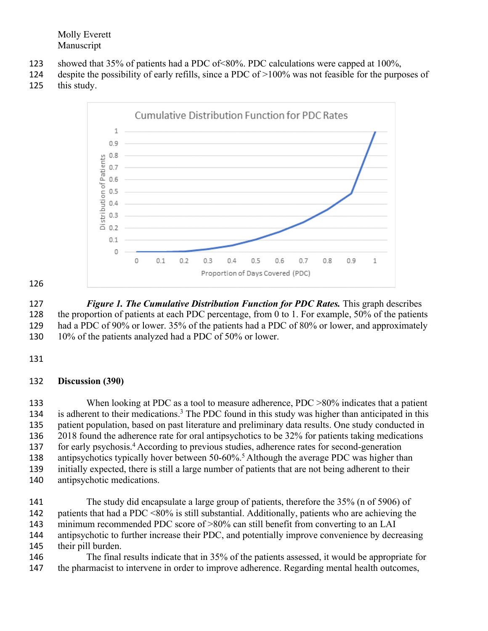- showed that 35% of patients had a PDC of<80%. PDC calculations were capped at 100%,
- despite the possibility of early refills, since a PDC of >100% was not feasible for the purposes of this study.



 *Figure 1. The Cumulative Distribution Function for PDC Rates.* This graph describes 128 the proportion of patients at each PDC percentage, from 0 to 1. For example, 50% of the patients had a PDC of 90% or lower. 35% of the patients had a PDC of 80% or lower, and approximately 130 10% of the patients analyzed had a PDC of 50% or lower.

### **Discussion (390)**

133 When looking at PDC as a tool to measure adherence, PDC  $>80\%$  indicates that a patient 134 is adherent to their medications.<sup>3</sup> The PDC found in this study was higher than anticipated in this patient population, based on past literature and preliminary data results. One study conducted in 2018 found the adherence rate for oral antipsychotics to be 32% for patients taking medications for early psychosis. <sup>4</sup> According to previous studies, adherence rates for second-generation 138 antipsychotics typically hover between  $50-60\%$ <sup>5</sup> Although the average PDC was higher than initially expected, there is still a large number of patients that are not being adherent to their antipsychotic medications.

 The study did encapsulate a large group of patients, therefore the 35% (n of 5906) of patients that had a PDC <80% is still substantial. Additionally, patients who are achieving the minimum recommended PDC score of >80% can still benefit from converting to an LAI antipsychotic to further increase their PDC, and potentially improve convenience by decreasing their pill burden.

 The final results indicate that in 35% of the patients assessed, it would be appropriate for 147 the pharmacist to intervene in order to improve adherence. Regarding mental health outcomes,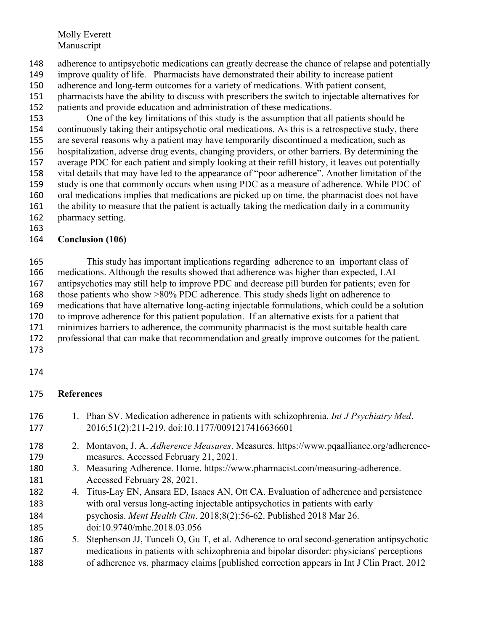- adherence to antipsychotic medications can greatly decrease the chance of relapse and potentially improve quality of life. Pharmacists have demonstrated their ability to increase patient
- adherence and long-term outcomes for a variety of medications. With patient consent,
- pharmacists have the ability to discuss with prescribers the switch to injectable alternatives for
- patients and provide education and administration of these medications.

 One of the key limitations of this study is the assumption that all patients should be continuously taking their antipsychotic oral medications. As this is a retrospective study, there are several reasons why a patient may have temporarily discontinued a medication, such as hospitalization, adverse drug events, changing providers, or other barriers. By determining the average PDC for each patient and simply looking at their refill history, it leaves out potentially vital details that may have led to the appearance of "poor adherence". Another limitation of the study is one that commonly occurs when using PDC as a measure of adherence. While PDC of oral medications implies that medications are picked up on time, the pharmacist does not have 161 the ability to measure that the patient is actually taking the medication daily in a community pharmacy setting.

## **Conclusion (106)**

 This study has important implications regarding adherence to an important class of medications. Although the results showed that adherence was higher than expected, LAI antipsychotics may still help to improve PDC and decrease pill burden for patients; even for those patients who show >80% PDC adherence. This study sheds light on adherence to medications that have alternative long-acting injectable formulations, which could be a solution to improve adherence for this patient population. If an alternative exists for a patient that minimizes barriers to adherence, the community pharmacist is the most suitable health care professional that can make that recommendation and greatly improve outcomes for the patient.

## 

## **References**

 1. Phan SV. Medication adherence in patients with schizophrenia. *Int J Psychiatry Med*. 2016;51(2):211-219. doi:10.1177/0091217416636601 2. Montavon, J. A. *Adherence Measures*. Measures. https://www.pqaalliance.org/adherence- measures. Accessed February 21, 2021. 3. Measuring Adherence. Home. https://www.pharmacist.com/measuring-adherence. Accessed February 28, 2021. 4. Titus-Lay EN, Ansara ED, Isaacs AN, Ott CA. Evaluation of adherence and persistence with oral versus long-acting injectable antipsychotics in patients with early psychosis. *Ment Health Clin*. 2018;8(2):56-62. Published 2018 Mar 26. doi:10.9740/mhc.2018.03.056 5. Stephenson JJ, Tunceli O, Gu T, et al. Adherence to oral second-generation antipsychotic medications in patients with schizophrenia and bipolar disorder: physicians' perceptions of adherence vs. pharmacy claims [published correction appears in Int J Clin Pract. 2012